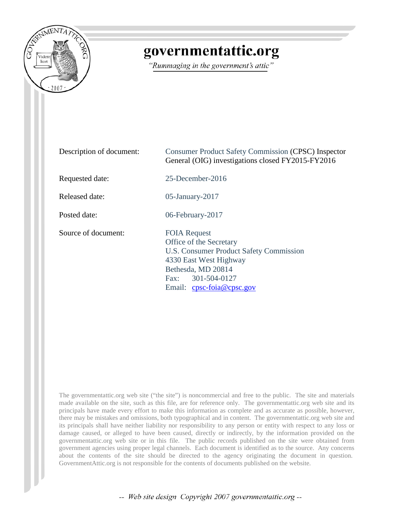

## governmentattic.org

"Rummaging in the government's attic"

| Description of document: | <b>Consumer Product Safety Commission (CPSC) Inspector</b><br>General (OIG) investigations closed FY2015-FY2016                                                                                           |
|--------------------------|-----------------------------------------------------------------------------------------------------------------------------------------------------------------------------------------------------------|
| Requested date:          | $25$ -December- $2016$                                                                                                                                                                                    |
| Released date:           | $05$ -January-2017                                                                                                                                                                                        |
| Posted date:             | 06-February-2017                                                                                                                                                                                          |
| Source of document:      | <b>FOIA Request</b><br>Office of the Secretary<br>U.S. Consumer Product Safety Commission<br>4330 East West Highway<br>Bethesda, MD 20814<br>Fax: 301-504-0127<br>Email: $cpc\text{-}foia@cpc\text{-}gov$ |

The governmentattic.org web site ("the site") is noncommercial and free to the public. The site and materials made available on the site, such as this file, are for reference only. The governmentattic.org web site and its principals have made every effort to make this information as complete and as accurate as possible, however, there may be mistakes and omissions, both typographical and in content. The governmentattic.org web site and its principals shall have neither liability nor responsibility to any person or entity with respect to any loss or damage caused, or alleged to have been caused, directly or indirectly, by the information provided on the governmentattic.org web site or in this file. The public records published on the site were obtained from government agencies using proper legal channels. Each document is identified as to the source. Any concerns about the contents of the site should be directed to the agency originating the document in question. GovernmentAttic.org is not responsible for the contents of documents published on the website.

-- Web site design Copyright 2007 governmentattic.org --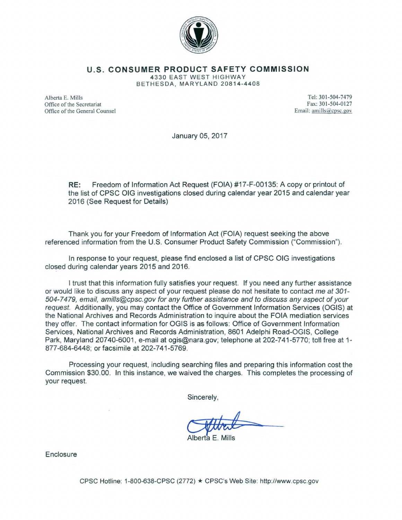

**U.S. CONSUMER PRODUCT SAFETY COMMISSION** 

4330 EAST WEST HIGHWAY BETHESDA, MARYLAND 20814-4408

Alberta E. Mills Office of the Secretariat Office of the General Counsel

Tel: 301-504-7479 Fax: 301-504-0127 Email: amills@cpsc.gov

January 05, 2017

**RE:** Freedom of Information Act Request (FOIA) #17-F-00135: A copy or printout of the list of CPSC OIG investigations closed during calendar year 2015 and calendar year 2016 (See Request for Details)

Thank you for your Freedom of Information Act (FOIA) request seeking the above referenced information from the U.S. Consumer Product Safety Commission ("Commission").

In response to your request, please find enclosed a list of CPSC OIG investigations closed during calendar years 2015 and 2016.

I trust that this information fully satisfies your request. If you need any further assistance or would like to discuss any aspect of your request please do not hesitate to contact me at 301-504-7479, email, amills@cpsc.gov for any further assistance and to discuss any aspect of your request. Additionally, you may contact the Office of Government Information Services (OGIS) at the National Archives and Records Administration to inquire about the FOIA mediation services they offer. The contact information for OGIS is as follows: Office of Government Information Services, National Archives and Records Administration, 8601 Adelphi Road-OGIS, College Park, Maryland 20740-6001, e-mail at ogis@nara.gov; telephone at 202-741-5770; toll free at 1-877-684-6448; or facsimile at 202-741-5769.

Processing your request, including searching files and preparing this information cost the Commission \$30.00. In this instance, we waived the charges. This completes the processing of your request.

Sincerely,

Albert

Alberta E. Mills

**Enclosure** 

CPSC Hotline: 1-800-638-CPSC (2772) \* CPSC's Web Site: http://www.cpsc.gov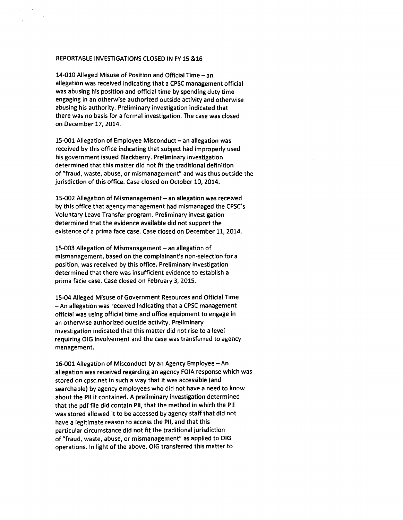## REPORTABLE INVESTIGATIONS CLOSED IN FY 15 &16

14-010 Alleged Misuse of Position and Official Time - an allegation was received indicating that a CPSC management official was abusing his position and official time by spending duty time engaging in an otherwise authorized outside activity and otherwise abusing his authority. Preliminary investigation indicated that there was no basis for a formal investigation. The case was closed on December 17, 2014.

15-001 Allegation of Employee Misconduct - an allegation was received by this office indicating that subject had improperly used his government issued Blackberry. Preliminary investigation determined that this matter did not fit the traditional definition of "fraud, waste, abuse, or mismanagement" and was thus outside the jurisdiction of this office. Case closed on October 10, 2014.

15-002 Allegation of Mismanagement - an allegation was received by this office that agency management had mismanaged the CPSC's Voluntary Leave Transfer program. Preliminary investigation determined that the evidence available did not support the existence of a prima face case. Case closed on December 11, 2014.

15-003 Allegation of Mismanagement - an allegation of mismanagement, based on the complainant's non-selection for a position, was received by this office. Preliminary investigation determined that there was insufficient evidence to establish a prima facie case. Case closed on February 3, 2015.

15-04 Alleged Misuse of Government Resources and Official Time -An allegation was received indicating that a CPSC management official was using official time and office equipment to engage in an otherwise authorized outside activity. Preliminary investigation indicated that this matter did not rise to a level requiring OIG involvement and the case was transferred to agency management.

16-001 Allegation of Misconduct by an Agency Employee – An allegation was received regarding an agency FOIA response which was stored on cpsc.net in such a way that it was accessible (and searchable) by agency employees who did not have a need to know about the Pll it contained. A preliminary investigation determined that the pdf file did contain Pll, that the method in which the Pll was stored allowed it to be accessed by agency staff that did not have a legitimate reason to access the Pll, and that this particular circumstance did not fit the traditional jurisdiction of "fraud, waste, abuse, or mismanagement" as applied to OIG operations. In light of the above, OIG transferred this matter to